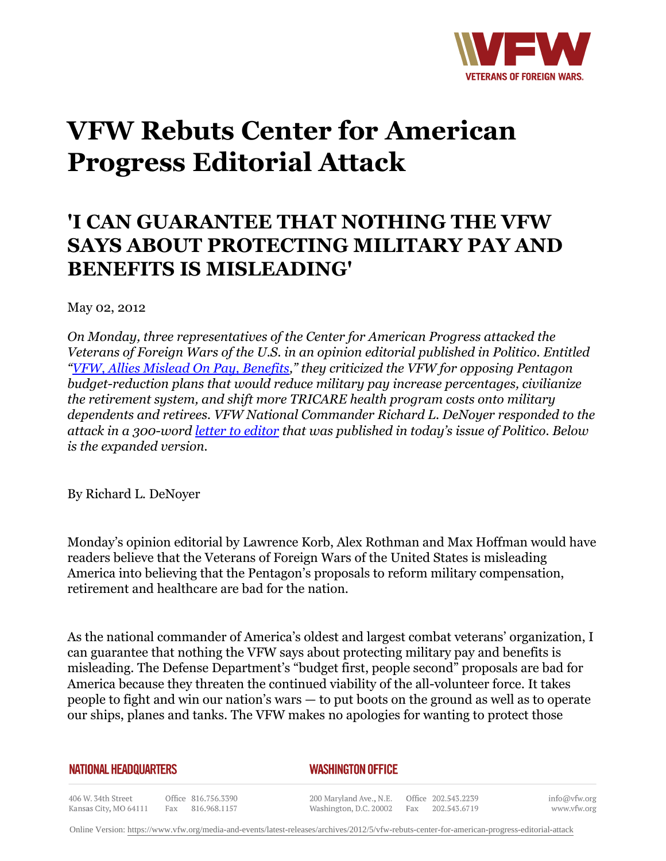

## **VFW Rebuts Center for American Progress Editorial Attack**

## **'I CAN GUARANTEE THAT NOTHING THE VFW SAYS ABOUT PROTECTING MILITARY PAY AND BENEFITS IS MISLEADING'**

May 02, 2012

*On Monday, three representatives of the Center for American Progress attacked the Veterans of Foreign Wars of the U.S. in an opinion editorial published in Politico. Entitled "[VFW, Allies Mislead On Pay, Benefits](http:http://www.politico.com/news/stories/0412/75720.html)," they criticized the VFW for opposing Pentagon budget-reduction plans that would reduce military pay increase percentages, civilianize the retirement system, and shift more TRICARE health program costs onto military dependents and retirees. VFW National Commander Richard L. DeNoyer responded to the attack in a 300-word [letter to editor](http:http://www.politico.com/news/stories/0512/75792.html) that was published in today's issue of Politico. Below is the expanded version.* 

By Richard L. DeNoyer

Monday's opinion editorial by Lawrence Korb, Alex Rothman and Max Hoffman would have readers believe that the Veterans of Foreign Wars of the United States is misleading America into believing that the Pentagon's proposals to reform military compensation, retirement and healthcare are bad for the nation.

As the national commander of America's oldest and largest combat veterans' organization, I can guarantee that nothing the VFW says about protecting military pay and benefits is misleading. The Defense Department's "budget first, people second" proposals are bad for America because they threaten the continued viability of the all-volunteer force. It takes people to fight and win our nation's wars — to put boots on the ground as well as to operate our ships, planes and tanks. The VFW makes no apologies for wanting to protect those

## **NATIONAL HEADQUARTERS**

## *WASHINGTON OFFICE*

406 W. 34th Street Office 816.756.3390 Fax 816.968.1157 Kansas City, MO 64111

200 Maryland Ave., N.E. Washington, D.C. 20002

Office 202.543.2239 Fax 202.543.6719 info@vfw.org www.vfw.org

Online Version:<https://www.vfw.org/media-and-events/latest-releases/archives/2012/5/vfw-rebuts-center-for-american-progress-editorial-attack>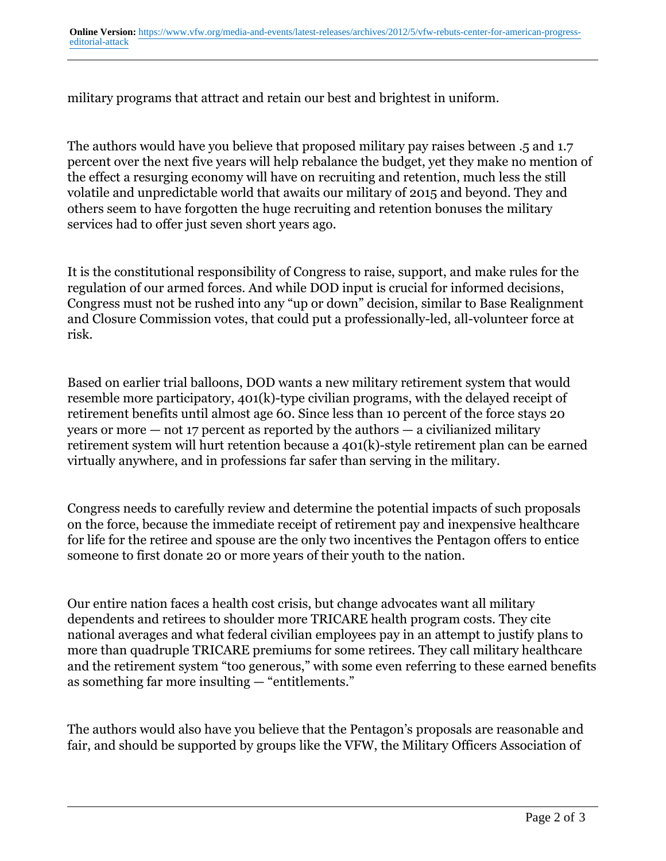military programs that attract and retain our best and brightest in uniform.

The authors would have you believe that proposed military pay raises between .5 and 1.7 percent over the next five years will help rebalance the budget, yet they make no mention of the effect a resurging economy will have on recruiting and retention, much less the still volatile and unpredictable world that awaits our military of 2015 and beyond. They and others seem to have forgotten the huge recruiting and retention bonuses the military services had to offer just seven short years ago.

It is the constitutional responsibility of Congress to raise, support, and make rules for the regulation of our armed forces. And while DOD input is crucial for informed decisions, Congress must not be rushed into any "up or down" decision, similar to Base Realignment and Closure Commission votes, that could put a professionally-led, all-volunteer force at risk.

Based on earlier trial balloons, DOD wants a new military retirement system that would resemble more participatory, 401(k)-type civilian programs, with the delayed receipt of retirement benefits until almost age 60. Since less than 10 percent of the force stays 20 years or more — not 17 percent as reported by the authors — a civilianized military retirement system will hurt retention because a 401(k)-style retirement plan can be earned virtually anywhere, and in professions far safer than serving in the military.

Congress needs to carefully review and determine the potential impacts of such proposals on the force, because the immediate receipt of retirement pay and inexpensive healthcare for life for the retiree and spouse are the only two incentives the Pentagon offers to entice someone to first donate 20 or more years of their youth to the nation.

Our entire nation faces a health cost crisis, but change advocates want all military dependents and retirees to shoulder more TRICARE health program costs. They cite national averages and what federal civilian employees pay in an attempt to justify plans to more than quadruple TRICARE premiums for some retirees. They call military healthcare and the retirement system "too generous," with some even referring to these earned benefits as something far more insulting — "entitlements."

The authors would also have you believe that the Pentagon's proposals are reasonable and fair, and should be supported by groups like the VFW, the Military Officers Association of